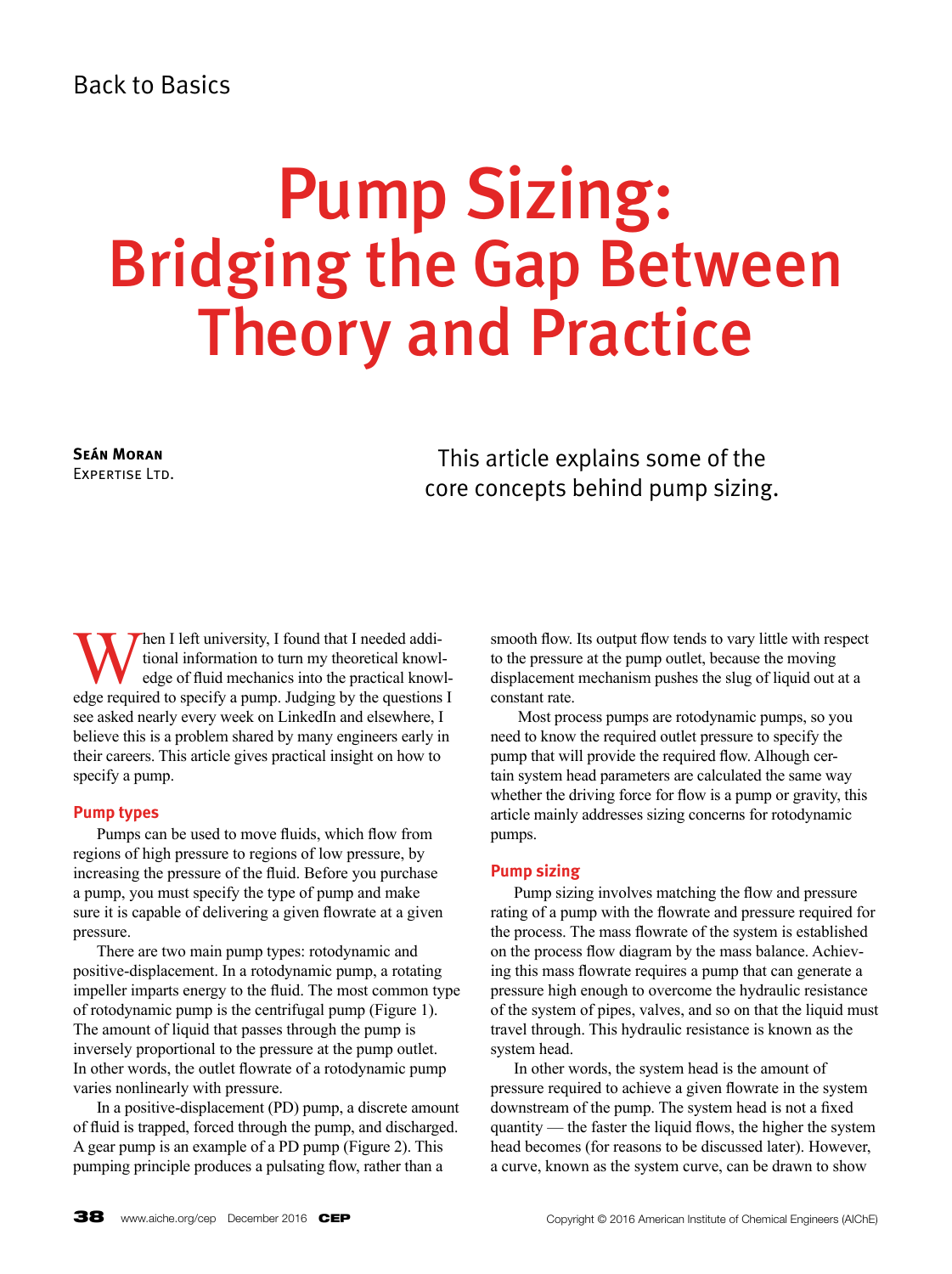## Back to Basics

# Pump Sizing: Bridging the Gap Between Theory and Practice

**Seán Moran** Expertise Ltd.

This article explains some of the core concepts behind pump sizing.

When I left university, I found that I needed additional information to turn my theoretical knowledge of fluid mechanics into the practical knowledge required to specify a pump. Indeing by the questions tional information to turn my theoretical knowledge of fluid mechanics into the practical knowledge required to specify a pump. Judging by the questions I see asked nearly every week on LinkedIn and elsewhere, I believe this is a problem shared by many engineers early in their careers. This article gives practical insight on how to specify a pump.

#### **Pump types**

Pumps can be used to move fluids, which flow from regions of high pressure to regions of low pressure, by increasing the pressure of the fluid. Before you purchase a pump, you must specify the type of pump and make sure it is capable of delivering a given flowrate at a given pressure.

There are two main pump types: rotodynamic and positive-displacement. In a rotodynamic pump, a rotating impeller imparts energy to the fluid. The most common type of rotodynamic pump is the centrifugal pump (Figure 1). The amount of liquid that passes through the pump is inversely proportional to the pressure at the pump outlet. In other words, the outlet flowrate of a rotodynamic pump varies nonlinearly with pressure.

In a positive-displacement (PD) pump, a discrete amount of fluid is trapped, forced through the pump, and discharged. A gear pump is an example of a PD pump (Figure 2). This pumping principle produces a pulsating flow, rather than a

smooth flow. Its output flow tends to vary little with respect to the pressure at the pump outlet, because the moving displacement mechanism pushes the slug of liquid out at a constant rate.

 Most process pumps are rotodynamic pumps, so you need to know the required outlet pressure to specify the pump that will provide the required flow. Alhough certain system head parameters are calculated the same way whether the driving force for flow is a pump or gravity, this article mainly addresses sizing concerns for rotodynamic pumps.

#### **Pump sizing**

Pump sizing involves matching the flow and pressure rating of a pump with the flowrate and pressure required for the process. The mass flowrate of the system is established on the process flow diagram by the mass balance. Achieving this mass flowrate requires a pump that can generate a pressure high enough to overcome the hydraulic resistance of the system of pipes, valves, and so on that the liquid must travel through. This hydraulic resistance is known as the system head.

In other words, the system head is the amount of pressure required to achieve a given flowrate in the system downstream of the pump. The system head is not a fixed quantity — the faster the liquid flows, the higher the system head becomes (for reasons to be discussed later). However, a curve, known as the system curve, can be drawn to show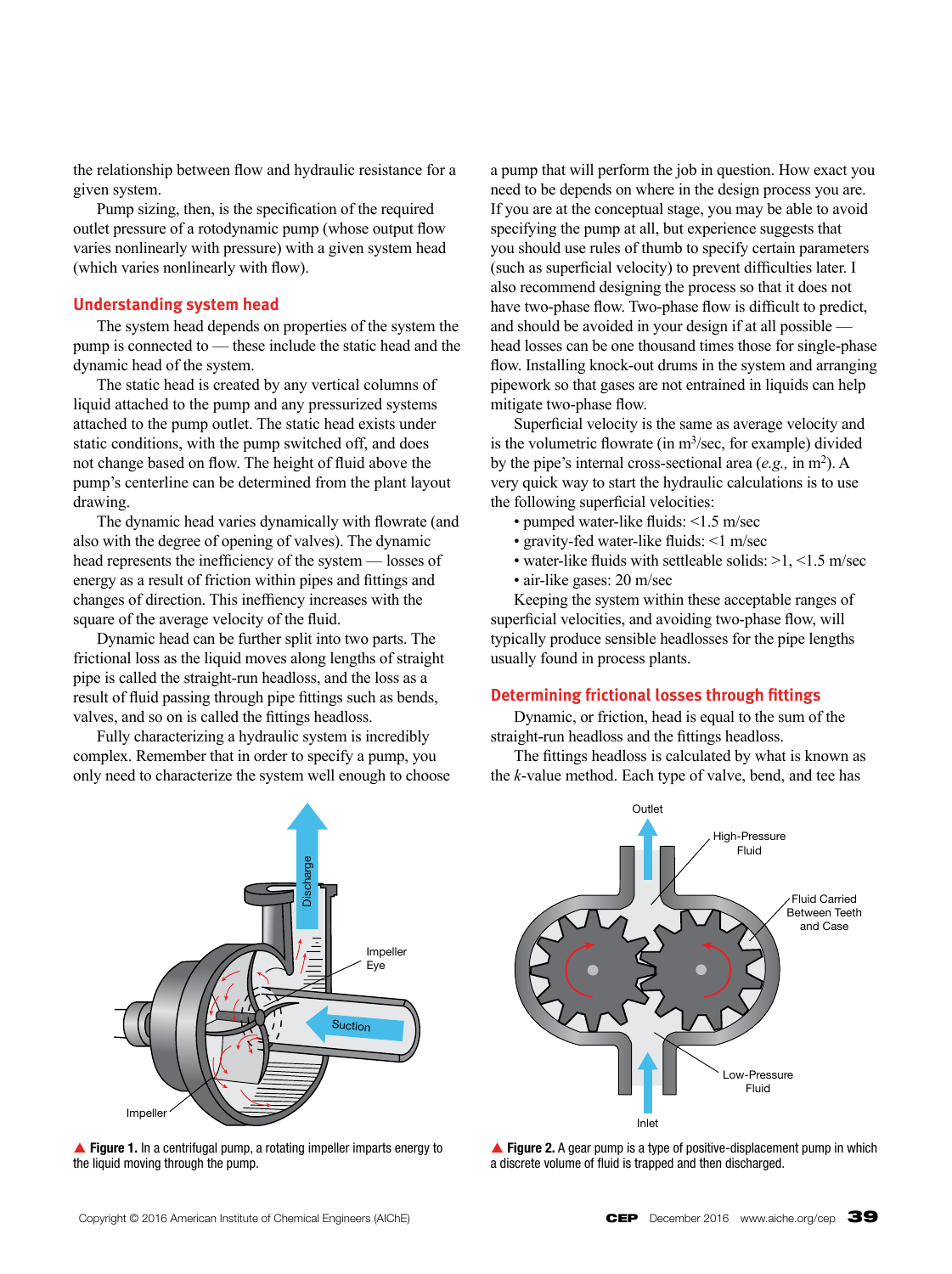the relationship between flow and hydraulic resistance for a given system.

Pump sizing, then, is the specification of the required outlet pressure of a rotodynamic pump (whose output flow varies nonlinearly with pressure) with a given system head (which varies nonlinearly with flow).

#### **Understanding system head**

The system head depends on properties of the system the pump is connected to — these include the static head and the dynamic head of the system.

The static head is created by any vertical columns of liquid attached to the pump and any pressurized systems attached to the pump outlet. The static head exists under static conditions, with the pump switched off, and does not change based on flow. The height of fluid above the pump's centerline can be determined from the plant layout drawing.

The dynamic head varies dynamically with flowrate (and also with the degree of opening of valves). The dynamic head represents the inefficiency of the system — losses of energy as a result of friction within pipes and fittings and changes of direction. This ineffiency increases with the square of the average velocity of the fluid.

Dynamic head can be further split into two parts. The frictional loss as the liquid moves along lengths of straight pipe is called the straight-run headloss, and the loss as a result of fluid passing through pipe fittings such as bends, valves, and so on is called the fittings headloss.

Fully characterizing a hydraulic system is incredibly complex. Remember that in order to specify a pump, you only need to characterize the system well enough to choose a pump that will perform the job in question. How exact you need to be depends on where in the design process you are. If you are at the conceptual stage, you may be able to avoid specifying the pump at all, but experience suggests that you should use rules of thumb to specify certain parameters (such as superficial velocity) to prevent difficulties later. I also recommend designing the process so that it does not have two-phase flow. Two-phase flow is difficult to predict, and should be avoided in your design if at all possible head losses can be one thousand times those for single-phase flow. Installing knock-out drums in the system and arranging pipework so that gases are not entrained in liquids can help mitigate two-phase flow.

Superficial velocity is the same as average velocity and is the volumetric flowrate (in  $m<sup>3</sup>/sec$ , for example) divided by the pipe's internal cross-sectional area  $(e.g., in m^2)$ . A very quick way to start the hydraulic calculations is to use the following superficial velocities:

- pumped water-like fluids: <1.5 m/sec
- gravity-fed water-like fluids: <1 m/sec
- water-like fluids with settleable solids: >1, <1.5 m/sec
- air-like gases: 20 m/sec

Keeping the system within these acceptable ranges of superficial velocities, and avoiding two-phase flow, will typically produce sensible headlosses for the pipe lengths usually found in process plants.

#### **Determining frictional losses through fittings**

Dynamic, or friction, head is equal to the sum of the straight-run headloss and the fittings headloss.

The fittings headloss is calculated by what is known as the *k*-value method. Each type of valve, bend, and tee has







**Figure 1.** In a centrifugal pump, a rotating impeller imparts energy to the liquid moving through the pump.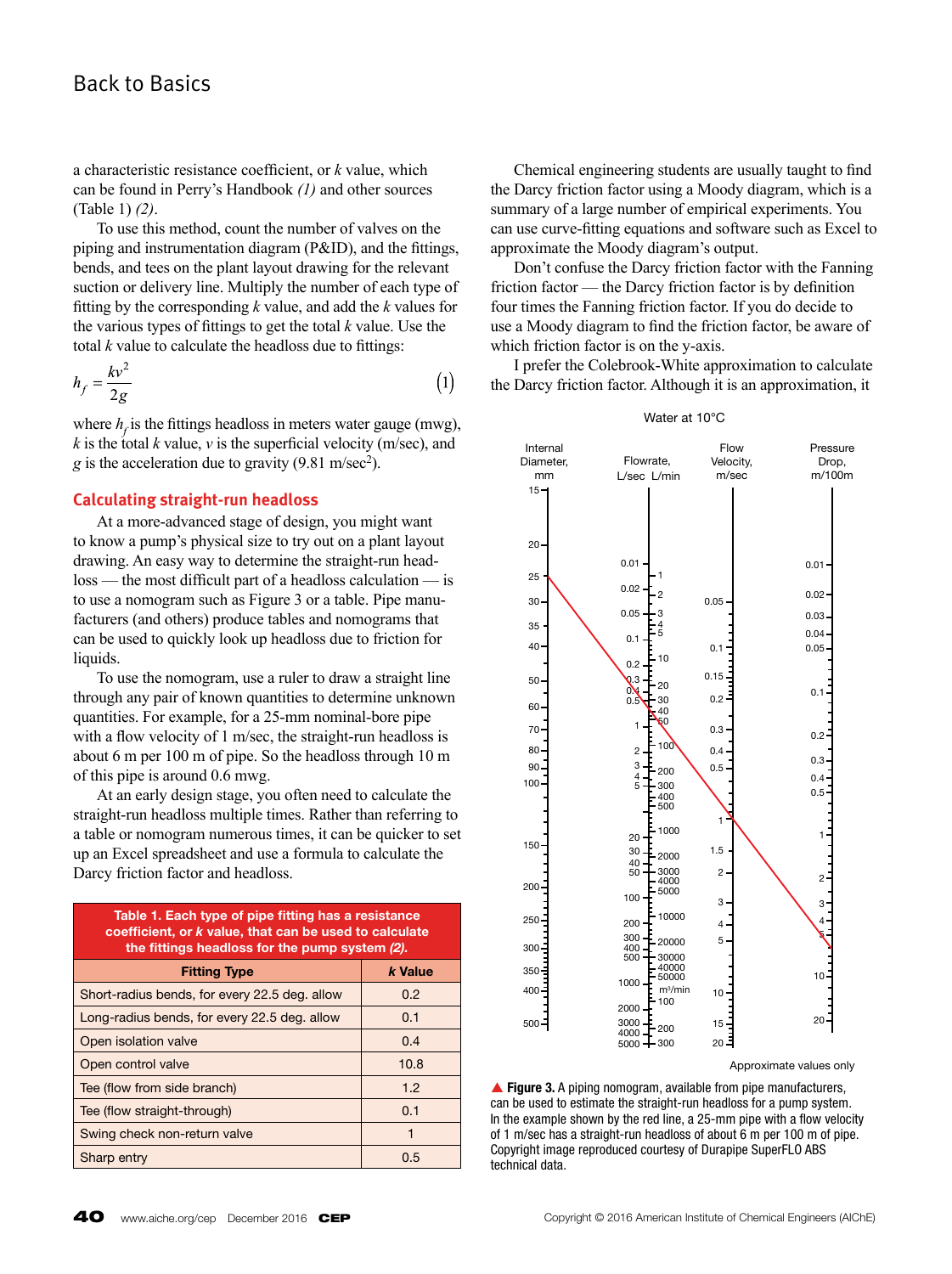### Back to Basics

a characteristic resistance coefficient, or *k* value, which can be found in Perry's Handbook *(1)* and other sources (Table 1) *(2)*.

To use this method, count the number of valves on the piping and instrumentation diagram (P&ID), and the fittings, bends, and tees on the plant layout drawing for the relevant suction or delivery line. Multiply the number of each type of fitting by the corresponding *k* value, and add the *k* values for the various types of fittings to get the total *k* value. Use the total *k* value to calculate the headloss due to fittings:

$$
h_f = \frac{kv^2}{2g} \tag{1}
$$

where  $h_f$  is the fittings headloss in meters water gauge (mwg), *k* is the total *k* value, *v* is the superficial velocity (m/sec), and  $g$  is the acceleration due to gravity (9.81 m/sec<sup>2</sup>).

#### **Calculating straight-run headloss**

At a more-advanced stage of design, you might want to know a pump's physical size to try out on a plant layout drawing. An easy way to determine the straight-run headloss — the most difficult part of a headloss calculation — is to use a nomogram such as Figure 3 or a table. Pipe manufacturers (and others) produce tables and nomograms that can be used to quickly look up headloss due to friction for liquids.

To use the nomogram, use a ruler to draw a straight line through any pair of known quantities to determine unknown quantities. For example, for a 25-mm nominal-bore pipe with a flow velocity of 1 m/sec, the straight-run headloss is about 6 m per 100 m of pipe. So the headloss through 10 m of this pipe is around 0.6 mwg.

At an early design stage, you often need to calculate the straight-run headloss multiple times. Rather than referring to a table or nomogram numerous times, it can be quicker to set up an Excel spreadsheet and use a formula to calculate the Darcy friction factor and headloss.

| Table 1. Each type of pipe fitting has a resistance<br>coefficient, or k value, that can be used to calculate<br>the fittings headloss for the pump system (2). |         |  |  |  |  |
|-----------------------------------------------------------------------------------------------------------------------------------------------------------------|---------|--|--|--|--|
| <b>Fitting Type</b>                                                                                                                                             | k Value |  |  |  |  |
| Short-radius bends, for every 22.5 deg. allow                                                                                                                   | 0.2     |  |  |  |  |
| Long-radius bends, for every 22.5 deg. allow                                                                                                                    | 0.1     |  |  |  |  |
| Open isolation valve                                                                                                                                            | 0.4     |  |  |  |  |
| Open control valve                                                                                                                                              | 10.8    |  |  |  |  |
| Tee (flow from side branch)                                                                                                                                     | 1.2     |  |  |  |  |
| Tee (flow straight-through)                                                                                                                                     | 0.1     |  |  |  |  |
| Swing check non-return valve                                                                                                                                    |         |  |  |  |  |
| Sharp entry                                                                                                                                                     | 0.5     |  |  |  |  |

Chemical engineering students are usually taught to find the Darcy friction factor using a Moody diagram, which is a summary of a large number of empirical experiments. You can use curve-fitting equations and software such as Excel to approximate the Moody diagram's output.

Don't confuse the Darcy friction factor with the Fanning friction factor — the Darcy friction factor is by definition four times the Fanning friction factor. If you do decide to use a Moody diagram to find the friction factor, be aware of which friction factor is on the y-axis.

I prefer the Colebrook-White approximation to calculate the Darcy friction factor. Although it is an approximation, it

#### Water at 10°C



Approximate values only

▲ Figure 3. A piping nomogram, available from pipe manufacturers, can be used to estimate the straight-run headloss for a pump system. In the example shown by the red line, a 25-mm pipe with a flow velocity of 1 m/sec has a straight-run headloss of about 6 m per 100 m of pipe. Copyright image reproduced courtesy of Durapipe SuperFLO ABS technical data.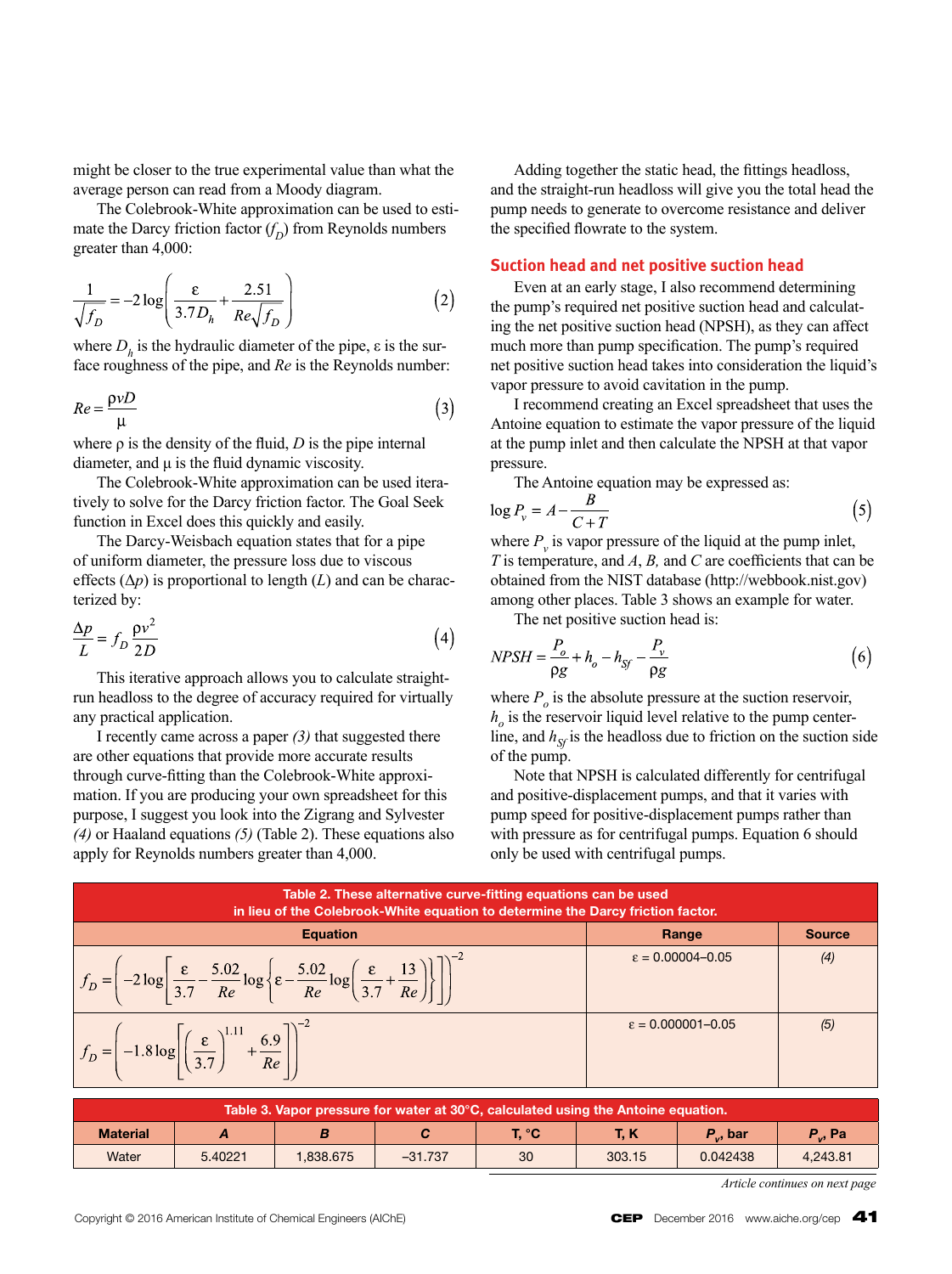might be closer to the true experimental value than what the average person can read from a Moody diagram.

The Colebrook-White approximation can be used to estimate the Darcy friction factor  $(f_D)$  from Reynolds numbers greater than 4,000:

$$
\frac{1}{\sqrt{f_D}} = -2\log\left(\frac{\varepsilon}{3.7D_h} + \frac{2.51}{Re\sqrt{f_D}}\right)
$$
 (2)

where  $D<sub>h</sub>$  is the hydraulic diameter of the pipe,  $\varepsilon$  is the surface roughness of the pipe, and *Re* is the Reynolds number:

$$
Re = \frac{\rho v D}{\mu} \tag{3}
$$

where  $\rho$  is the density of the fluid,  $D$  is the pipe internal diameter, and  $\mu$  is the fluid dynamic viscosity.

The Colebrook-White approximation can be used iteratively to solve for the Darcy friction factor. The Goal Seek function in Excel does this quickly and easily.

The Darcy-Weisbach equation states that for a pipe of uniform diameter, the pressure loss due to viscous effects  $(\Delta p)$  is proportional to length  $(L)$  and can be characterized by:

$$
\frac{\Delta p}{L} = f_D \frac{\rho v^2}{2D} \tag{4}
$$

This iterative approach allows you to calculate straightrun headloss to the degree of accuracy required for virtually any practical application.

I recently came across a paper *(3)* that suggested there are other equations that provide more accurate results through curve-fitting than the Colebrook-White approximation. If you are producing your own spreadsheet for this purpose, I suggest you look into the Zigrang and Sylvester *(4)* or Haaland equations *(5)* (Table 2). These equations also apply for Reynolds numbers greater than 4,000.

Adding together the static head, the fittings headloss, and the straight-run headloss will give you the total head the pump needs to generate to overcome resistance and deliver the specified flowrate to the system.

#### **Suction head and net positive suction head**

Even at an early stage, I also recommend determining the pump's required net positive suction head and calculating the net positive suction head (NPSH), as they can affect much more than pump specification. The pump's required net positive suction head takes into consideration the liquid's vapor pressure to avoid cavitation in the pump.

I recommend creating an Excel spreadsheet that uses the Antoine equation to estimate the vapor pressure of the liquid at the pump inlet and then calculate the NPSH at that vapor pressure.

The Antoine equation may be expressed as:

$$
\log P_v = A - \frac{B}{C + T} \tag{5}
$$

where  $P_{v}$  is vapor pressure of the liquid at the pump inlet, *T* is temperature, and *A*, *B,* and *C* are coefficients that can be obtained from the NIST database (http://webbook.nist.gov) among other places. Table 3 shows an example for water.

The net positive suction head is:

$$
NPSH = \frac{P_o}{\rho g} + h_o - h_{Sf} - \frac{P_v}{\rho g} \tag{6}
$$

where  $P_{o}$  is the absolute pressure at the suction reservoir,  $h<sub>o</sub>$  is the reservoir liquid level relative to the pump centerline, and  $h_{Sf}$  is the headloss due to friction on the suction side of the pump.

Note that NPSH is calculated differently for centrifugal and positive-displacement pumps, and that it varies with pump speed for positive-displacement pumps rather than with pressure as for centrifugal pumps. Equation 6 should only be used with centrifugal pumps.

| Table 2. These alternative curve-fitting equations can be used<br>in lieu of the Colebrook-White equation to determine the Darcy friction factor.                  |                              |               |  |  |  |  |
|--------------------------------------------------------------------------------------------------------------------------------------------------------------------|------------------------------|---------------|--|--|--|--|
| <b>Equation</b>                                                                                                                                                    | Range                        | <b>Source</b> |  |  |  |  |
| $\left[-2\log\left \frac{\varepsilon}{3.7}-\frac{5.02}{Re}\log\left \varepsilon-\frac{5.02}{Re}\log\left(\frac{\varepsilon}{3.7}+\frac{1}{h}\right)\right \right]$ | $\epsilon = 0.00004 - 0.05$  | (4)           |  |  |  |  |
| $f_D = -1.8 \log \left( \frac{\varepsilon}{3.7} \right)^1$<br>$+\frac{6.9}{Re}$                                                                                    | $\epsilon = 0.000001 - 0.05$ | (5)           |  |  |  |  |

| Table 3. Vapor pressure for water at 30°C, calculated using the Antoine equation. |         |          |           |       |        |                      |                   |  |
|-----------------------------------------------------------------------------------|---------|----------|-----------|-------|--------|----------------------|-------------------|--|
| <b>Material</b>                                                                   |         |          |           | T. °C | T. K   | P <sub>.</sub> , bar | $P_{\alpha}$ , Pa |  |
| Water                                                                             | 5.40221 | .838.675 | $-31.737$ | 30    | 303.15 | 0.042438             | 4.243.81          |  |

*Article continues on next page*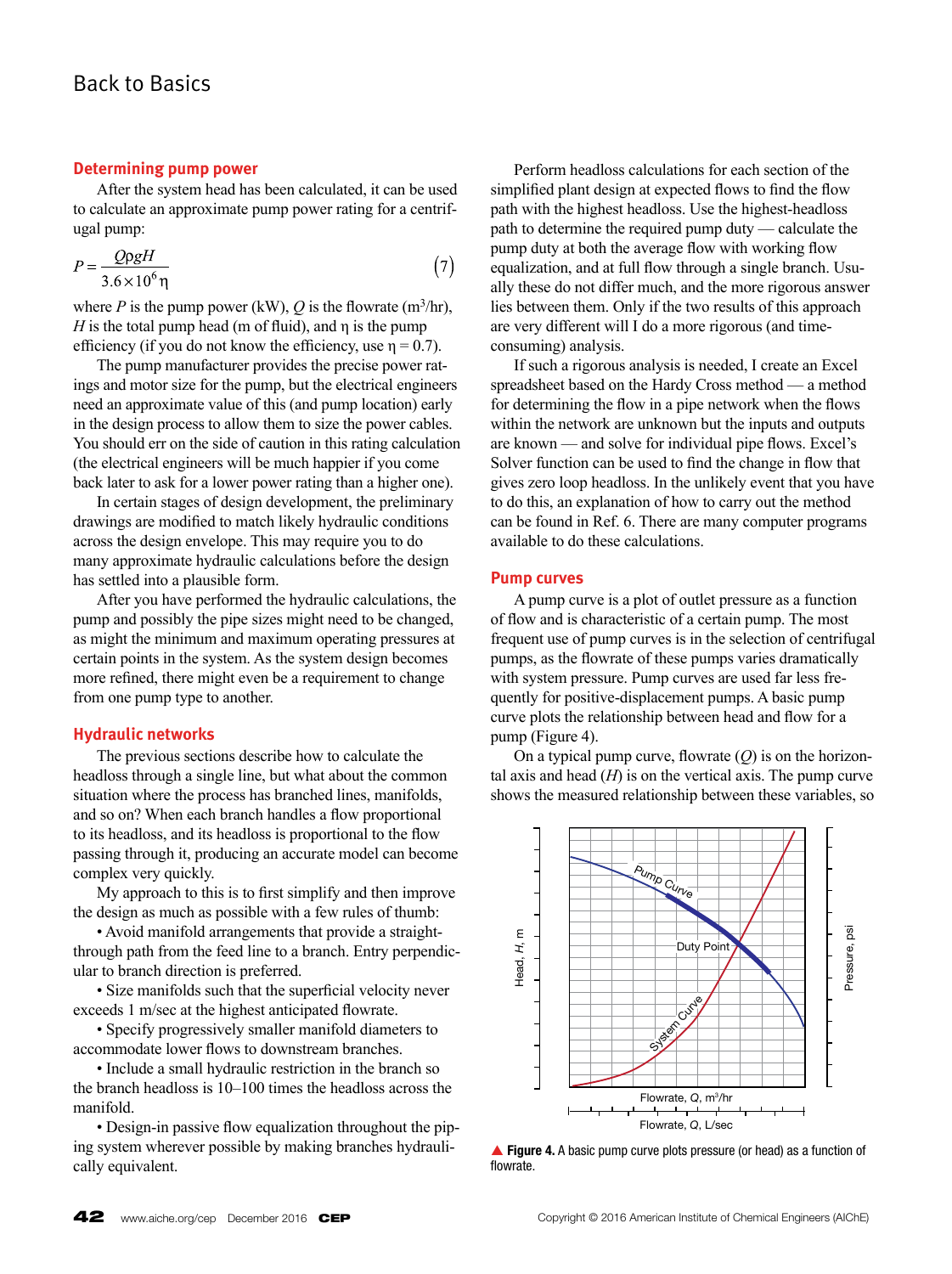#### **Determining pump power**

After the system head has been calculated, it can be used to calculate an approximate pump power rating for a centrifugal pump:

$$
P = \frac{Q\rho gH}{3.6 \times 10^6 \,\text{m}}\tag{7}
$$

where *P* is the pump power (kW),  $Q$  is the flowrate (m<sup>3</sup>/hr),  $H$  is the total pump head (m of fluid), and  $\eta$  is the pump efficiency (if you do not know the efficiency, use  $\eta = 0.7$ ).

The pump manufacturer provides the precise power ratings and motor size for the pump, but the electrical engineers need an approximate value of this (and pump location) early in the design process to allow them to size the power cables. You should err on the side of caution in this rating calculation (the electrical engineers will be much happier if you come back later to ask for a lower power rating than a higher one).

In certain stages of design development, the preliminary drawings are modified to match likely hydraulic conditions across the design envelope. This may require you to do many approximate hydraulic calculations before the design has settled into a plausible form.

After you have performed the hydraulic calculations, the pump and possibly the pipe sizes might need to be changed, as might the minimum and maximum operating pressures at certain points in the system. As the system design becomes more refined, there might even be a requirement to change from one pump type to another.

#### **Hydraulic networks**

The previous sections describe how to calculate the headloss through a single line, but what about the common situation where the process has branched lines, manifolds, and so on? When each branch handles a flow proportional to its headloss, and its headloss is proportional to the flow passing through it, producing an accurate model can become complex very quickly.

My approach to this is to first simplify and then improve the design as much as possible with a few rules of thumb:

• Avoid manifold arrangements that provide a straightthrough path from the feed line to a branch. Entry perpendicular to branch direction is preferred.

• Size manifolds such that the superficial velocity never exceeds 1 m/sec at the highest anticipated flowrate.

• Specify progressively smaller manifold diameters to accommodate lower flows to downstream branches.

• Include a small hydraulic restriction in the branch so the branch headloss is 10–100 times the headloss across the manifold.

• Design-in passive flow equalization throughout the piping system wherever possible by making branches hydraulically equivalent.

Perform headloss calculations for each section of the simplified plant design at expected flows to find the flow path with the highest headloss. Use the highest-headloss path to determine the required pump duty — calculate the pump duty at both the average flow with working flow equalization, and at full flow through a single branch. Usually these do not differ much, and the more rigorous answer lies between them. Only if the two results of this approach are very different will I do a more rigorous (and timeconsuming) analysis.

If such a rigorous analysis is needed, I create an Excel spreadsheet based on the Hardy Cross method — a method for determining the flow in a pipe network when the flows within the network are unknown but the inputs and outputs are known — and solve for individual pipe flows. Excel's Solver function can be used to find the change in flow that gives zero loop headloss. In the unlikely event that you have to do this, an explanation of how to carry out the method can be found in Ref. 6. There are many computer programs available to do these calculations.

#### **Pump curves**

A pump curve is a plot of outlet pressure as a function of flow and is characteristic of a certain pump. The most frequent use of pump curves is in the selection of centrifugal pumps, as the flowrate of these pumps varies dramatically with system pressure. Pump curves are used far less frequently for positive-displacement pumps. A basic pump curve plots the relationship between head and flow for a pump (Figure 4).

On a typical pump curve, flowrate (*Q*) is on the horizontal axis and head  $(H)$  is on the vertical axis. The pump curve shows the measured relationship between these variables, so



**Figure 4.** A basic pump curve plots pressure (or head) as a function of flowrate.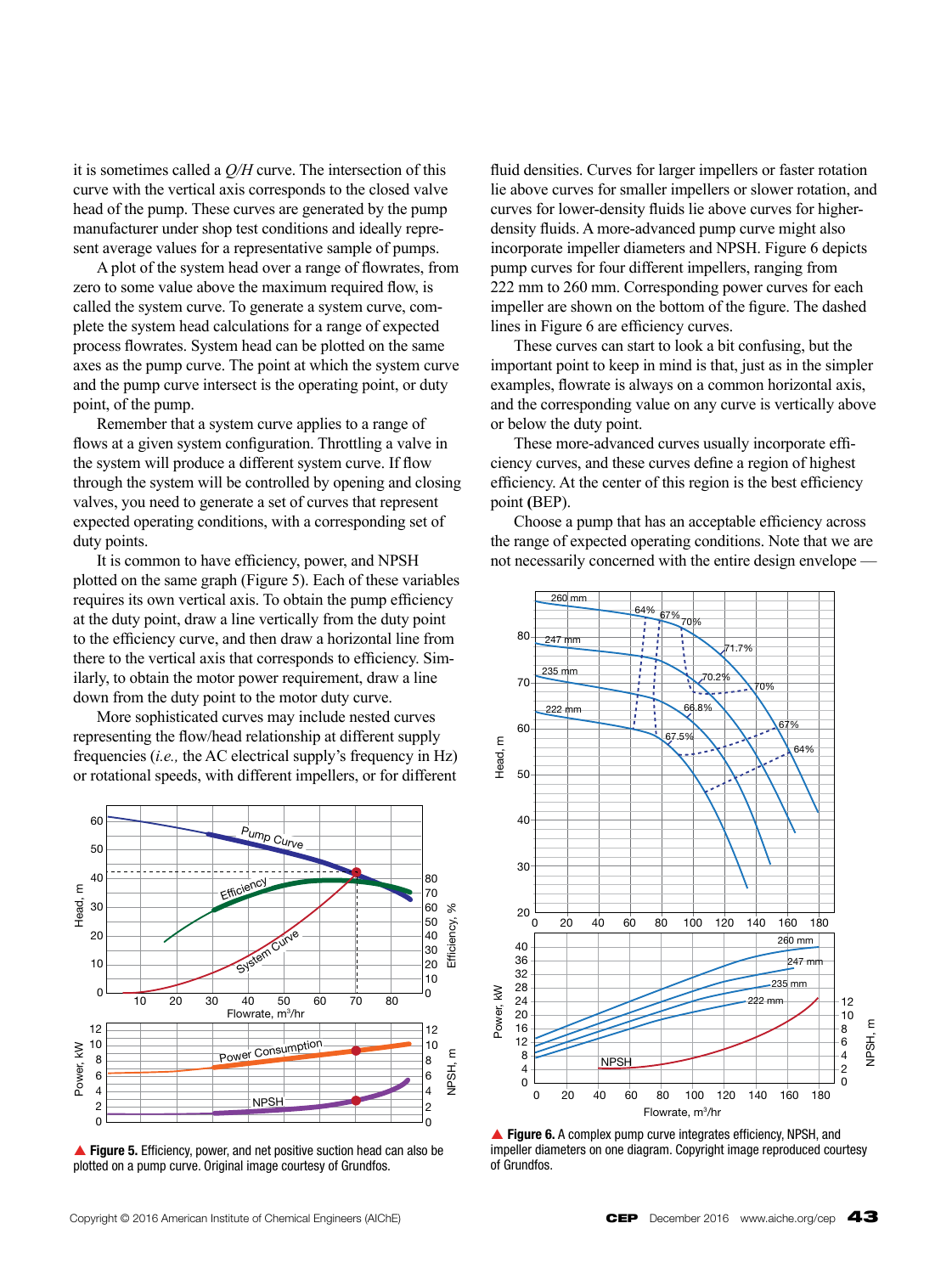it is sometimes called a *Q/H* curve. The intersection of this curve with the vertical axis corresponds to the closed valve head of the pump. These curves are generated by the pump manufacturer under shop test conditions and ideally represent average values for a representative sample of pumps.

A plot of the system head over a range of flowrates, from zero to some value above the maximum required flow, is called the system curve. To generate a system curve, complete the system head calculations for a range of expected process flowrates. System head can be plotted on the same axes as the pump curve. The point at which the system curve and the pump curve intersect is the operating point, or duty point, of the pump.

Remember that a system curve applies to a range of flows at a given system configuration. Throttling a valve in the system will produce a different system curve. If flow through the system will be controlled by opening and closing valves, you need to generate a set of curves that represent expected operating conditions, with a corresponding set of duty points.

It is common to have efficiency, power, and NPSH plotted on the same graph (Figure 5). Each of these variables requires its own vertical axis. To obtain the pump efficiency at the duty point, draw a line vertically from the duty point to the efficiency curve, and then draw a horizontal line from there to the vertical axis that corresponds to efficiency. Similarly, to obtain the motor power requirement, draw a line down from the duty point to the motor duty curve.

More sophisticated curves may include nested curves representing the flow/head relationship at different supply frequencies (*i.e.,* the AC electrical supply's frequency in Hz) or rotational speeds, with different impellers, or for different



**Figure 5.** Efficiency, power, and net positive suction head can also be plotted on a pump curve. Original image courtesy of Grundfos.

fluid densities. Curves for larger impellers or faster rotation lie above curves for smaller impellers or slower rotation, and curves for lower-density fluids lie above curves for higherdensity fluids. A more-advanced pump curve might also incorporate impeller diameters and NPSH. Figure 6 depicts pump curves for four different impellers, ranging from 222 mm to 260 mm. Corresponding power curves for each impeller are shown on the bottom of the figure. The dashed lines in Figure 6 are efficiency curves.

These curves can start to look a bit confusing, but the important point to keep in mind is that, just as in the simpler examples, flowrate is always on a common horizontal axis, and the corresponding value on any curve is vertically above or below the duty point.

These more-advanced curves usually incorporate efficiency curves, and these curves define a region of highest efficiency. At the center of this region is the best efficiency point **(**BEP).

Choose a pump that has an acceptable efficiency across the range of expected operating conditions. Note that we are not necessarily concerned with the entire design envelope —



▲ Figure 6. A complex pump curve integrates efficiency, NPSH, and impeller diameters on one diagram. Copyright image reproduced courtesy of Grundfos.